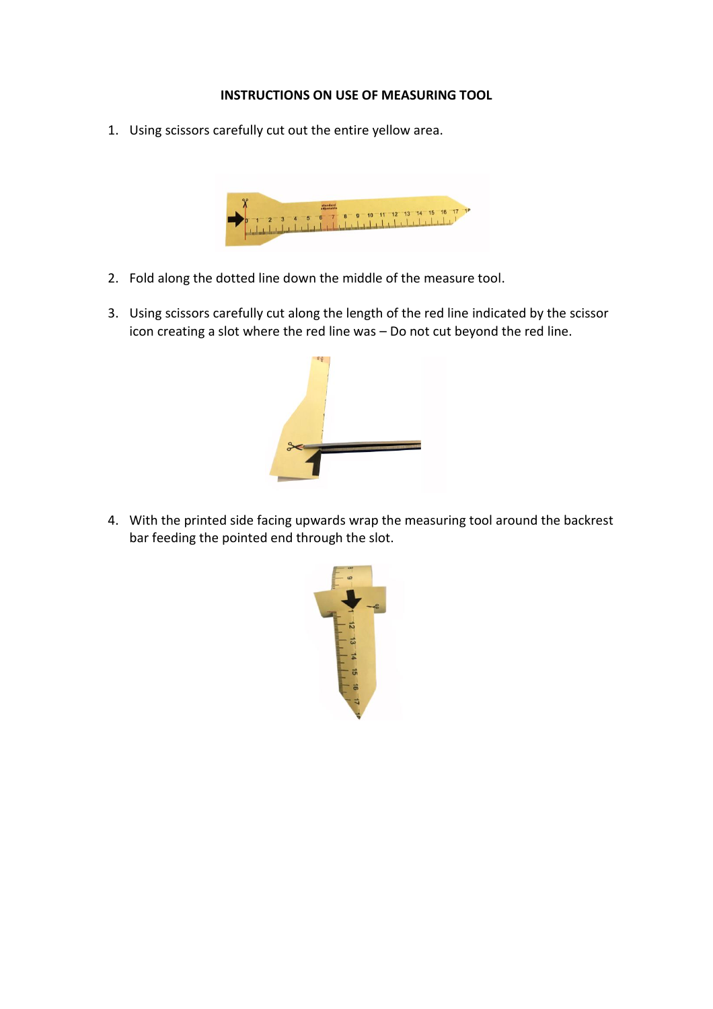## **INSTRUCTIONS ON USE OF MEASURING TOOL**

1. Using scissors carefully cut out the entire yellow area.



- 2. Fold along the dotted line down the middle of the measure tool.
- 3. Using scissors carefully cut along the length of the red line indicated by the scissor icon creating a slot where the red line was – Do not cut beyond the red line.



4. With the printed side facing upwards wrap the measuring tool around the backrest bar feeding the pointed end through the slot.